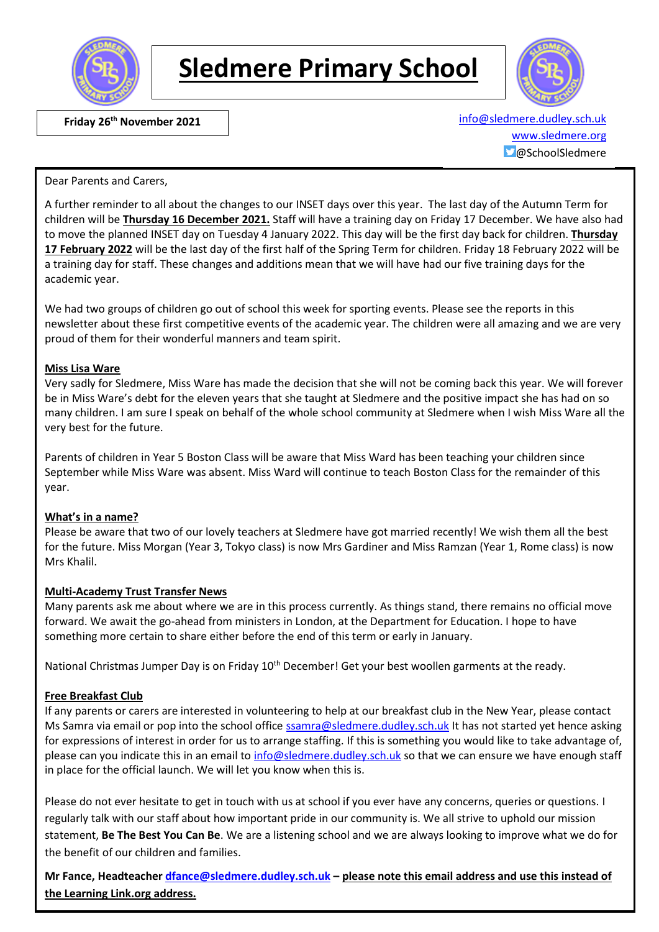

# **Sledmere Primary School**



 **Friday 26th November 2021** [info@sledmere.dudley.sch.uk](mailto:info@sledmere.dudley.sch.uk) [www.sledmere.org](http://www.sledmere.org/)  $\Box$ @SchoolSledmere

Dear Parents and Carers,

A further reminder to all about the changes to our INSET days over this year. The last day of the Autumn Term for children will be **Thursday 16 December 2021.** Staff will have a training day on Friday 17 December. We have also had to move the planned INSET day on Tuesday 4 January 2022. This day will be the first day back for children. **Thursday 17 February 2022** will be the last day of the first half of the Spring Term for children. Friday 18 February 2022 will be a training day for staff. These changes and additions mean that we will have had our five training days for the academic year.

We had two groups of children go out of school this week for sporting events. Please see the reports in this newsletter about these first competitive events of the academic year. The children were all amazing and we are very proud of them for their wonderful manners and team spirit.

#### **Miss Lisa Ware**

Very sadly for Sledmere, Miss Ware has made the decision that she will not be coming back this year. We will forever be in Miss Ware's debt for the eleven years that she taught at Sledmere and the positive impact she has had on so many children. I am sure I speak on behalf of the whole school community at Sledmere when I wish Miss Ware all the very best for the future.

Parents of children in Year 5 Boston Class will be aware that Miss Ward has been teaching your children since September while Miss Ware was absent. Miss Ward will continue to teach Boston Class for the remainder of this year.

### **What's in a name?**

Please be aware that two of our lovely teachers at Sledmere have got married recently! We wish them all the best for the future. Miss Morgan (Year 3, Tokyo class) is now Mrs Gardiner and Miss Ramzan (Year 1, Rome class) is now Mrs Khalil.

### **Multi-Academy Trust Transfer News**

Many parents ask me about where we are in this process currently. As things stand, there remains no official move forward. We await the go-ahead from ministers in London, at the Department for Education. I hope to have something more certain to share either before the end of this term or early in January.

National Christmas Jumper Day is on Friday 10<sup>th</sup> December! Get your best woollen garments at the ready.

### **Free Breakfast Club**

If any parents or carers are interested in volunteering to help at our breakfast club in the New Year, please contact Ms Samra via email or pop into the school office [ssamra@sledmere.dudley.sch.uk](mailto:ssamra@sledmere.dudley.sch.uk) It has not started yet hence asking for expressions of interest in order for us to arrange staffing. If this is something you would like to take advantage of, please can you indicate this in an email to [info@sledmere.dudley.sch.uk](mailto:info@sledmere.dudley.sch.uk) so that we can ensure we have enough staff in place for the official launch. We will let you know when this is.

Please do not ever hesitate to get in touch with us at school if you ever have any concerns, queries or questions. I regularly talk with our staff about how important pride in our community is. We all strive to uphold our mission statement, **Be The Best You Can Be**. We are a listening school and we are always looking to improve what we do for the benefit of our children and families.

**Mr Fance, Headteacher [dfance@sledmere.dudley.sch.uk](mailto:dfance@sledmere.dudley.sch.uk) – please note this email address and use this instead of the Learning Link.org address.**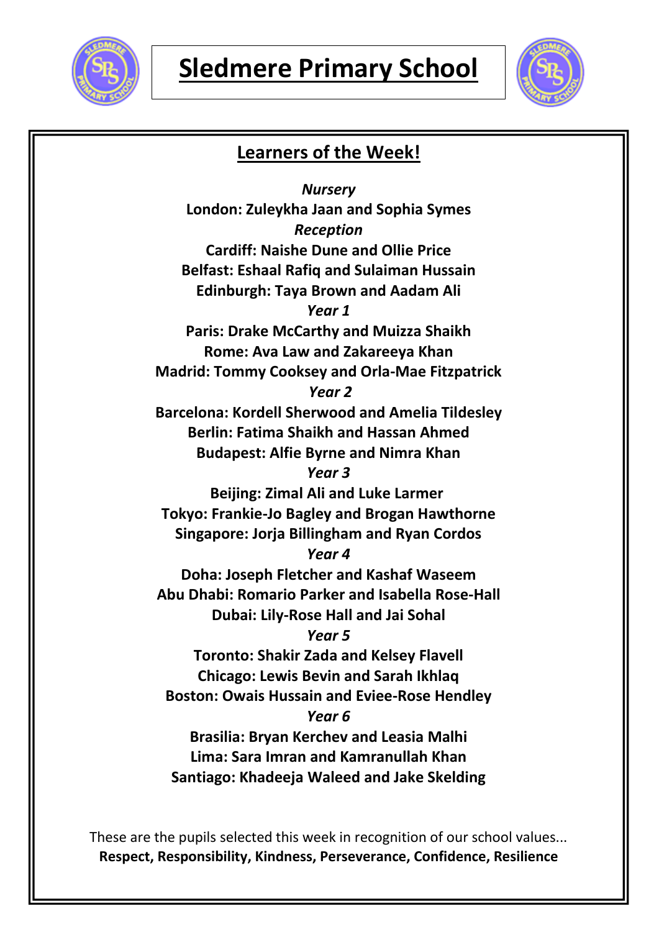



## **Learners of the Week!**

*Nursery* **London: Zuleykha Jaan and Sophia Symes** *Reception* **Cardiff: Naishe Dune and Ollie Price Belfast: Eshaal Rafiq and Sulaiman Hussain Edinburgh: Taya Brown and Aadam Ali** *Year 1* **Paris: Drake McCarthy and Muizza Shaikh Rome: Ava Law and Zakareeya Khan Madrid: Tommy Cooksey and Orla-Mae Fitzpatrick** *Year 2* **Barcelona: Kordell Sherwood and Amelia Tildesley Berlin: Fatima Shaikh and Hassan Ahmed Budapest: Alfie Byrne and Nimra Khan** *Year 3* **Beijing: Zimal Ali and Luke Larmer Tokyo: Frankie-Jo Bagley and Brogan Hawthorne Singapore: Jorja Billingham and Ryan Cordos** *Year 4* **Doha: Joseph Fletcher and Kashaf Waseem Abu Dhabi: Romario Parker and Isabella Rose-Hall Dubai: Lily-Rose Hall and Jai Sohal** *Year 5* **Toronto: Shakir Zada and Kelsey Flavell Chicago: Lewis Bevin and Sarah Ikhlaq Boston: Owais Hussain and Eviee-Rose Hendley** *Year 6* **Brasilia: Bryan Kerchev and Leasia Malhi Lima: Sara Imran and Kamranullah Khan Santiago: Khadeeja Waleed and Jake Skelding**

These are the pupils selected this week in recognition of our school values... **Respect, Responsibility, Kindness, Perseverance, Confidence, Resilience**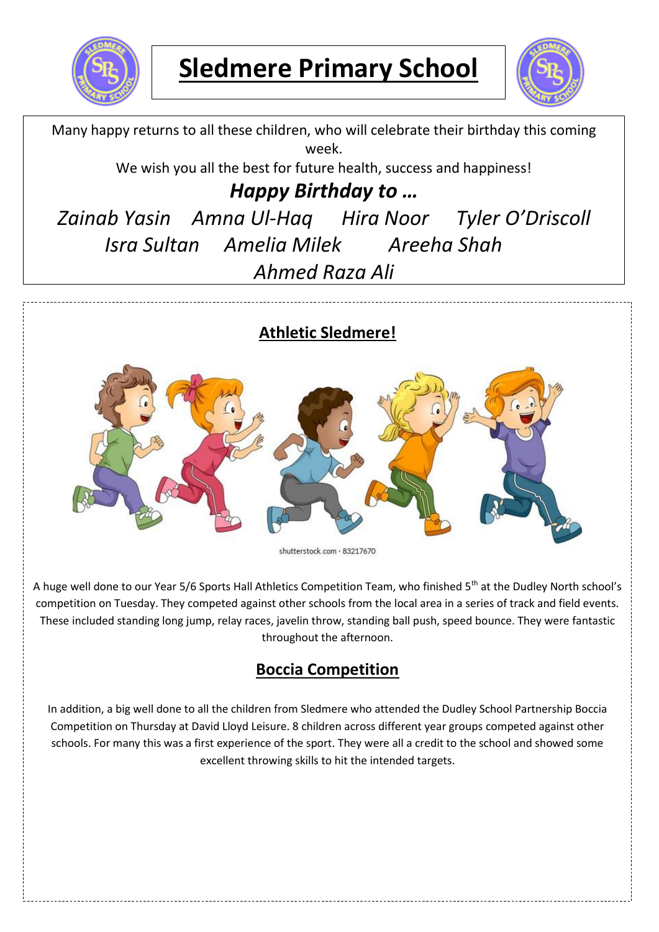



Many happy returns to all these children, who will celebrate their birthday this coming week.

We wish you all the best for future health, success and happiness!

# *Happy Birthday to …*

*Zainab Yasin Amna Ul-Haq Hira Noor Tyler O'Driscoll Isra Sultan Amelia Milek Areeha Shah Ahmed Raza Ali*

### **Athletic Sledmere!**



shutterstock.com · 83217670

A huge well done to our Year 5/6 Sports Hall Athletics Competition Team, who finished 5<sup>th</sup> at the Dudley North school's competition on Tuesday. They competed against other schools from the local area in a series of track and field events. These included standing long jump, relay races, javelin throw, standing ball push, speed bounce. They were fantastic throughout the afternoon.

## **Boccia Competition**

In addition, a big well done to all the children from Sledmere who attended the Dudley School Partnership Boccia Competition on Thursday at David Lloyd Leisure. 8 children across different year groups competed against other schools. For many this was a first experience of the sport. They were all a credit to the school and showed some excellent throwing skills to hit the intended targets.